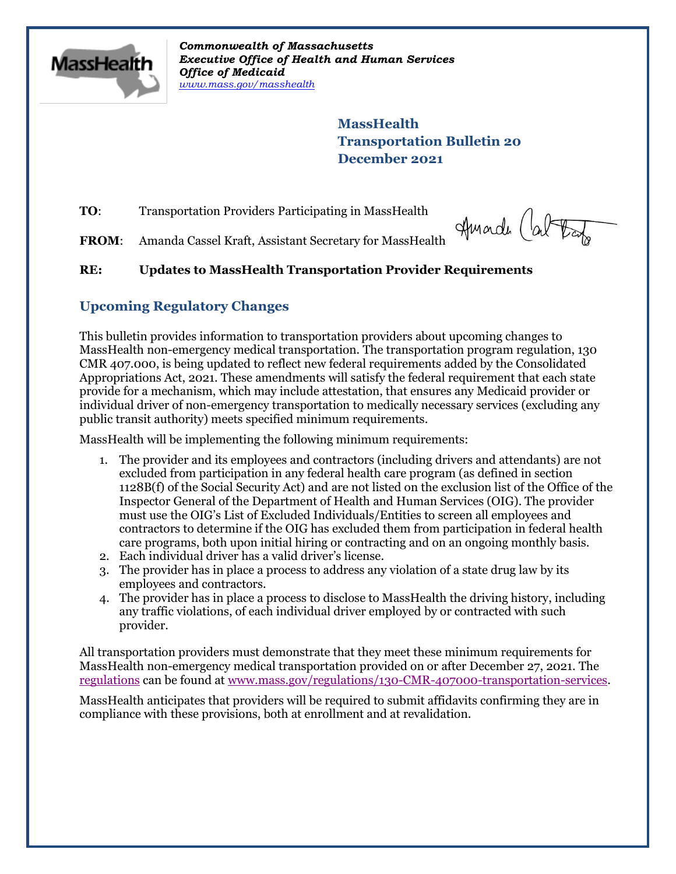

*Commonwealth of Massachusetts Executive Office of Health and Human Services Office of Medicaid [www.mass.gov/masshealth](http://www.mass.gov/masshealth)*

> **MassHealth Transportation Bulletin 20 December 2021**

**TO:** Transportation Providers Participating in MassHealth

Amade Cabo

**FROM**: Amanda Cassel Kraft, Assistant Secretary for MassHealth

## **RE: Updates to MassHealth Transportation Provider Requirements**

## **Upcoming Regulatory Changes**

This bulletin provides information to transportation providers about upcoming changes to MassHealth non-emergency medical transportation. The transportation program regulation, 130 CMR 407.000, is being updated to reflect new federal requirements added by the Consolidated Appropriations Act, 2021. These amendments will satisfy the federal requirement that each state provide for a mechanism, which may include attestation, that ensures any Medicaid provider or individual driver of non-emergency transportation to medically necessary services (excluding any public transit authority) meets specified minimum requirements.

MassHealth will be implementing the following minimum requirements:

- 1. The provider and its employees and contractors (including drivers and attendants) are not excluded from participation in any federal health care program (as defined in section 1128B(f) of the Social Security Act) and are not listed on the exclusion list of the Office of the Inspector General of the Department of Health and Human Services (OIG). The provider must use the OIG's List of Excluded Individuals/Entities to screen all employees and contractors to determine if the OIG has excluded them from participation in federal health care programs, both upon initial hiring or contracting and on an ongoing monthly basis.
- 2. Each individual driver has a valid driver's license.
- 3. The provider has in place a process to address any violation of a state drug law by its employees and contractors.
- 4. The provider has in place a process to disclose to MassHealth the driving history, including any traffic violations, of each individual driver employed by or contracted with such provider.

All transportation providers must demonstrate that they meet these minimum requirements for MassHealth non-emergency medical transportation provided on or after December 27, 2021. The [regulations](https://www.mass.gov/regulations/130-CMR-407000-transportation-services) can be found at [www.mass.gov/regulations/130-CMR-407000-transportation-services.](https://www.mass.gov/regulations/130-CMR-407000-transportation-services)

MassHealth anticipates that providers will be required to submit affidavits confirming they are in compliance with these provisions, both at enrollment and at revalidation.